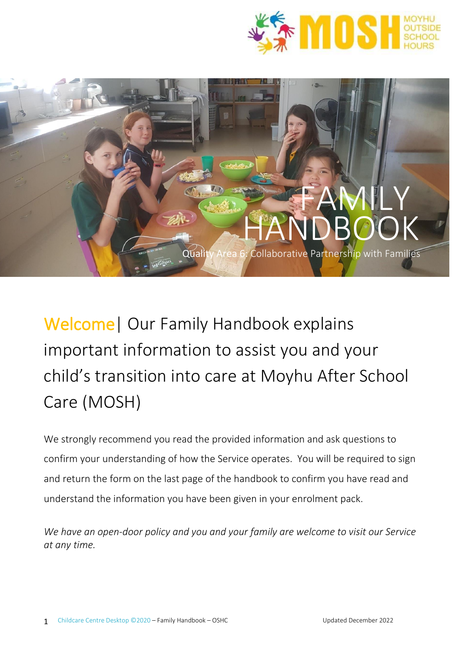



Welcome| Our Family Handbook explains important information to assist you and your child's transition into care at Moyhu After School Care (MOSH)

We strongly recommend you read the provided information and ask questions to confirm your understanding of how the Service operates. You will be required to sign and return the form on the last page of the handbook to confirm you have read and understand the information you have been given in your enrolment pack.

*We have an open-door policy and you and your family are welcome to visit our Service at any time.*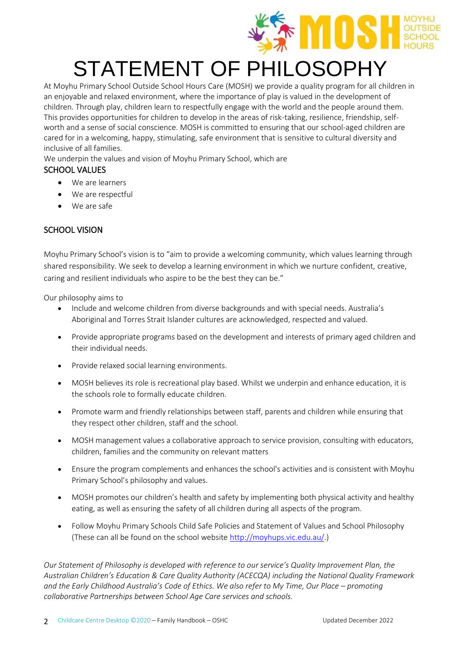

# STATEMENT OF PHILOSOPHY

At Moyhu Primary School Outside School Hours Care (MOSH) we provide a quality program for all children in an enjoyable and relaxed environment, where the importance of play is valued in the development of children. Through play, children learn to respectfully engage with the world and the people around them. This provides opportunities for children to develop in the areas of risk-taking, resilience, friendship, selfworth and a sense of social conscience. MOSH is committed to ensuring that our school-aged children are cared for in a welcoming, happy, stimulating, safe environment that is sensitive to cultural diversity and inclusive of all families.

We underpin the values and vision of Moyhu Primary School, which are

#### SCHOOL VALUES

- We are learners
- We are respectful
- We are safe

#### SCHOOL VISION

Moyhu Primary School's vision is to "aim to provide a welcoming community, which values learning through shared responsibility. We seek to develop a learning environment in which we nurture confident, creative, caring and resilient individuals who aspire to be the best they can be."

Our philosophy aims to

- Include and welcome children from diverse backgrounds and with special needs. Australia's Aboriginal and Torres Strait Islander cultures are acknowledged, respected and valued.
- Provide appropriate programs based on the development and interests of primary aged children and their individual needs.
- Provide relaxed social learning environments.
- MOSH believes its role is recreational play based. Whilst we underpin and enhance education, it is the schools role to formally educate children.
- Promote warm and friendly relationships between staff, parents and children while ensuring that they respect other children, staff and the school.
- MOSH management values a collaborative approach to service provision, consulting with educators, children, families and the community on relevant matters
- Ensure the program complements and enhances the school's activities and is consistent with Moyhu Primary School's philosophy and values.
- MOSH promotes our children's health and safety by implementing both physical activity and healthy eating, as well as ensuring the safety of all children during all aspects of the program.
- Follow Moyhu Primary Schools Child Safe Policies and Statement of Values and School Philosophy (These can all be found on the school website [http://moyhups.vic.edu.au/.](http://moyhups.vic.edu.au/))

*Our Statement of Philosophy is developed with reference to our service's Quality Improvement Plan, the Australian Children's Education & Care Quality Authority (ACECQA) including the National Quality Framework and the Early Childhood Australia's Code of Ethics. We also refer to My Time, Our Place – promoting collaborative Partnerships between School Age Care services and schools.*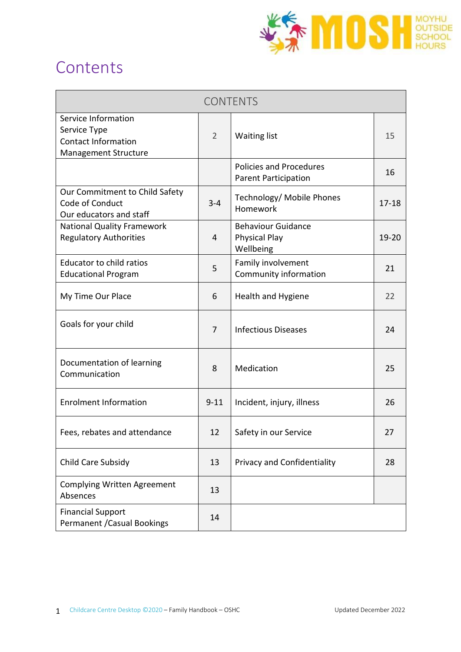

### **Contents**

| <b>CONTENTS</b>                                                                           |                |                                                                |           |  |
|-------------------------------------------------------------------------------------------|----------------|----------------------------------------------------------------|-----------|--|
| Service Information<br>Service Type<br><b>Contact Information</b><br>Management Structure | $\overline{2}$ | <b>Waiting list</b>                                            | 15        |  |
|                                                                                           |                | <b>Policies and Procedures</b><br><b>Parent Participation</b>  | 16        |  |
| Our Commitment to Child Safety<br>Code of Conduct<br>Our educators and staff              | $3 - 4$        | Technology/ Mobile Phones<br>Homework                          | $17 - 18$ |  |
| <b>National Quality Framework</b><br><b>Regulatory Authorities</b>                        | 4              | <b>Behaviour Guidance</b><br><b>Physical Play</b><br>Wellbeing | 19-20     |  |
| <b>Educator to child ratios</b><br><b>Educational Program</b>                             | 5              | Family involvement<br>Community information                    | 21        |  |
| My Time Our Place                                                                         | 6              | <b>Health and Hygiene</b>                                      | 22        |  |
| Goals for your child                                                                      | 7              | <b>Infectious Diseases</b>                                     | 24        |  |
| Documentation of learning<br>Communication                                                | 8              | Medication                                                     | 25        |  |
| <b>Enrolment Information</b>                                                              | $9 - 11$       | Incident, injury, illness                                      | 26        |  |
| Fees, rebates and attendance                                                              | 12             | Safety in our Service                                          | 27        |  |
| Child Care Subsidy                                                                        | 13             | <b>Privacy and Confidentiality</b>                             | 28        |  |
| <b>Complying Written Agreement</b><br>Absences                                            | 13             |                                                                |           |  |
| <b>Financial Support</b><br>Permanent / Casual Bookings                                   | 14             |                                                                |           |  |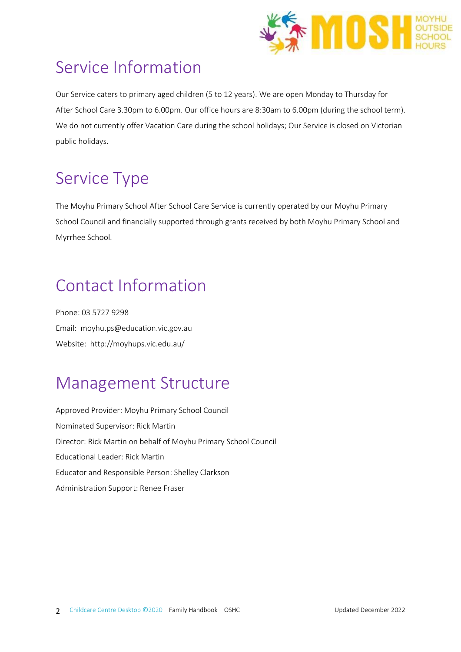

### Service Information

Our Service caters to primary aged children (5 to 12 years). We are open Monday to Thursday for After School Care 3.30pm to 6.00pm. Our office hours are 8:30am to 6.00pm (during the school term). We do not currently offer Vacation Care during the school holidays; Our Service is closed on Victorian public holidays.

## Service Type

The Moyhu Primary School After School Care Service is currently operated by our Moyhu Primary School Council and financially supported through grants received by both Moyhu Primary School and Myrrhee School.

### Contact Information

Phone: 03 5727 9298 Email: moyhu.ps@education.vic.gov.au Website: http://moyhups.vic.edu.au/

### Management Structure

Approved Provider: Moyhu Primary School Council Nominated Supervisor: Rick Martin Director: Rick Martin on behalf of Moyhu Primary School Council Educational Leader: Rick Martin Educator and Responsible Person: Shelley Clarkson Administration Support: Renee Fraser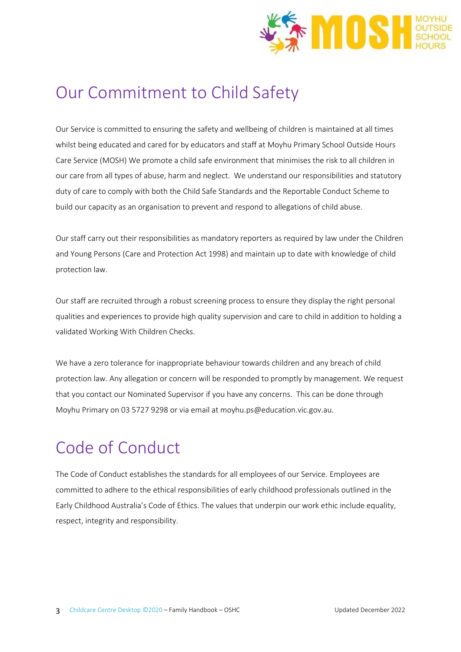

### Our Commitment to Child Safety

Our Service is committed to ensuring the safety and wellbeing of children is maintained at all times whilst being educated and cared for by educators and staff at Moyhu Primary School Outside Hours Care Service (MOSH) We promote a child safe environment that minimises the risk to all children in our care from all types of abuse, harm and neglect. We understand our responsibilities and statutory duty of care to comply with both the Child Safe Standards and the Reportable Conduct Scheme to build our capacity as an organisation to prevent and respond to allegations of child abuse.

Our staff carry out their responsibilities as mandatory reporters as required by law under the Children and Young Persons (Care and Protection Act 1998) and maintain up to date with knowledge of child protection law.

Our staff are recruited through a robust screening process to ensure they display the right personal qualities and experiences to provide high quality supervision and care to child in addition to holding a validated Working With Children Checks.

We have a zero tolerance for inappropriate behaviour towards children and any breach of child protection law. Any allegation or concern will be responded to promptly by management. We request that you contact our Nominated Supervisor if you have any concerns. This can be done through Moyhu Primary on 03 5727 9298 or via email at moyhu.ps@education.vic.gov.au.

## Code of Conduct

The Code of Conduct establishes the standards for all employees of our Service. Employees are committed to adhere to the ethical responsibilities of early childhood professionals outlined in the Early Childhood Australia's Code of Ethics. The values that underpin our work ethic include equality, respect, integrity and responsibility.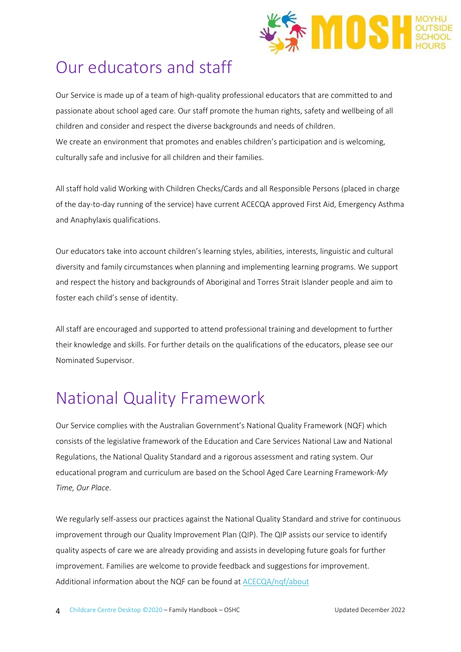

### Our educators and staff

Our Service is made up of a team of high-quality professional educators that are committed to and passionate about school aged care. Our staff promote the human rights, safety and wellbeing of all children and consider and respect the diverse backgrounds and needs of children. We create an environment that promotes and enables children's participation and is welcoming, culturally safe and inclusive for all children and their families.

All staff hold valid Working with Children Checks/Cards and all Responsible Persons (placed in charge of the day-to-day running of the service) have current ACECQA approved First Aid, Emergency Asthma and Anaphylaxis qualifications.

Our educators take into account children's learning styles, abilities, interests, linguistic and cultural diversity and family circumstances when planning and implementing learning programs. We support and respect the history and backgrounds of Aboriginal and Torres Strait Islander people and aim to foster each child's sense of identity.

All staff are encouraged and supported to attend professional training and development to further their knowledge and skills. For further details on the qualifications of the educators, please see our Nominated Supervisor.

## National Quality Framework

Our Service complies with the Australian Government's National Quality Framework (NQF) which consists of the legislative framework of the Education and Care Services National Law and National Regulations, the National Quality Standard and a rigorous assessment and rating system. Our educational program and curriculum are based on the School Aged Care Learning Framework-*My Time, Our Place*.

We regularly self-assess our practices against the National Quality Standard and strive for continuous improvement through our Quality Improvement Plan (QIP). The QIP assists our service to identify quality aspects of care we are already providing and assists in developing future goals for further improvement. Families are welcome to provide feedback and suggestions for improvement. Additional information about the NQF can be found at ACECQA/ngf/about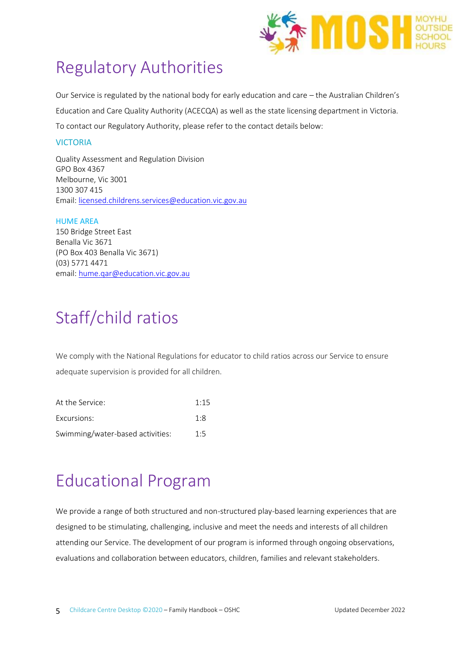

## Regulatory Authorities

Our Service is regulated by the national body for early education and care – the Australian Children's Education and Care Quality Authority (ACECQA) as well as the state licensing department in Victoria. To contact our Regulatory Authority, please refer to the contact details below:

#### VICTORIA

Quality Assessment and Regulation Division GPO Box 4367 Melbourne, Vic 3001 1300 307 415 Email[: licensed.childrens.services@education.vic.gov.au](mailto:licensed.childrens.services@education.vic.gov.au)

HUME AREA 150 Bridge Street East Benalla Vic 3671 (PO Box 403 Benalla Vic 3671) (03) 5771 4471 email: [hume.qar@education.vic.gov.au](mailto:hume.qar@education.vic.gov.au)

## Staff/child ratios

We comply with the National Regulations for educator to child ratios across our Service to ensure adequate supervision is provided for all children.

| At the Service:                  | 1:15 |
|----------------------------------|------|
| Excursions:                      | 1.8  |
| Swimming/water-based activities: | 1.5  |

### Educational Program

We provide a range of both structured and non-structured play-based learning experiences that are designed to be stimulating, challenging, inclusive and meet the needs and interests of all children attending our Service. The development of our program is informed through ongoing observations, evaluations and collaboration between educators, children, families and relevant stakeholders.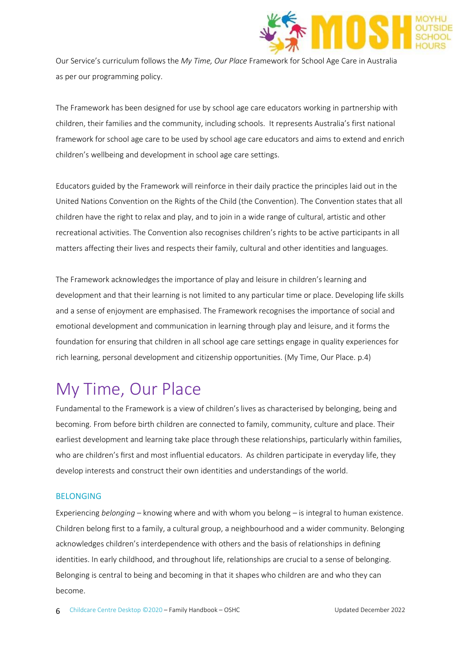

Our Service's curriculum follows the *My Time, Our Place* Framework for School Age Care in Australia as per our programming policy.

The Framework has been designed for use by school age care educators working in partnership with children, their families and the community, including schools. It represents Australia's first national framework for school age care to be used by school age care educators and aims to extend and enrich children's wellbeing and development in school age care settings.

Educators guided by the Framework will reinforce in their daily practice the principles laid out in the United Nations Convention on the Rights of the Child (the Convention). The Convention states that all children have the right to relax and play, and to join in a wide range of cultural, artistic and other recreational activities. The Convention also recognises children's rights to be active participants in all matters affecting their lives and respects their family, cultural and other identities and languages.

The Framework acknowledges the importance of play and leisure in children's learning and development and that their learning is not limited to any particular time or place. Developing life skills and a sense of enjoyment are emphasised. The Framework recognises the importance of social and emotional development and communication in learning through play and leisure, and it forms the foundation for ensuring that children in all school age care settings engage in quality experiences for rich learning, personal development and citizenship opportunities. (My Time, Our Place. p.4)

### My Time, Our Place

Fundamental to the Framework is a view of children's lives as characterised by belonging, being and becoming. From before birth children are connected to family, community, culture and place. Their earliest development and learning take place through these relationships, particularly within families, who are children's first and most influential educators. As children participate in everyday life, they develop interests and construct their own identities and understandings of the world.

#### BELONGING

Experiencing *belonging* – knowing where and with whom you belong – is integral to human existence. Children belong first to a family, a cultural group, a neighbourhood and a wider community. Belonging acknowledges children's interdependence with others and the basis of relationships in defining identities. In early childhood, and throughout life, relationships are crucial to a sense of belonging. Belonging is central to being and becoming in that it shapes who children are and who they can become.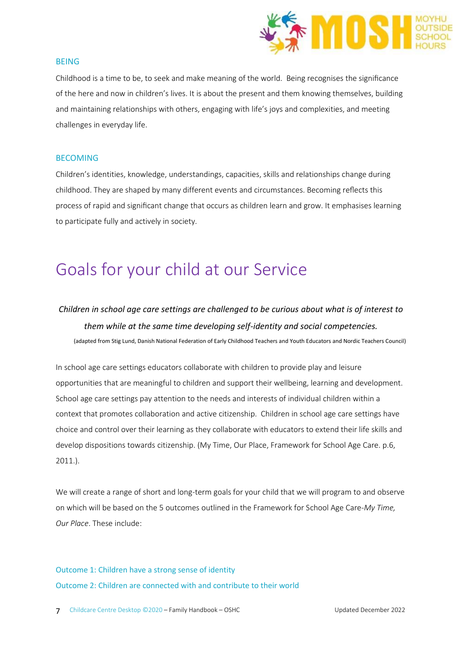

#### BEING

Childhood is a time to be, to seek and make meaning of the world. Being recognises the significance of the here and now in children's lives. It is about the present and them knowing themselves, building and maintaining relationships with others, engaging with life's joys and complexities, and meeting challenges in everyday life.

#### BECOMING

Children's identities, knowledge, understandings, capacities, skills and relationships change during childhood. They are shaped by many different events and circumstances. Becoming reflects this process of rapid and significant change that occurs as children learn and grow. It emphasises learning to participate fully and actively in society.

### Goals for your child at our Service

#### *Children in school age care settings are challenged to be curious about what is of interest to them while at the same time developing self-identity and social competencies.* (adapted from Stig Lund, Danish National Federation of Early Childhood Teachers and Youth Educators and Nordic Teachers Council)

In school age care settings educators collaborate with children to provide play and leisure opportunities that are meaningful to children and support their wellbeing, learning and development. School age care settings pay attention to the needs and interests of individual children within a context that promotes collaboration and active citizenship. Children in school age care settings have choice and control over their learning as they collaborate with educators to extend their life skills and develop dispositions towards citizenship. (My Time, Our Place, Framework for School Age Care. p.6, 2011.).

We will create a range of short and long-term goals for your child that we will program to and observe on which will be based on the 5 outcomes outlined in the Framework for School Age Care-*My Time, Our Place*. These include:

Outcome 1: Children have a strong sense of identity Outcome 2: Children are connected with and contribute to their world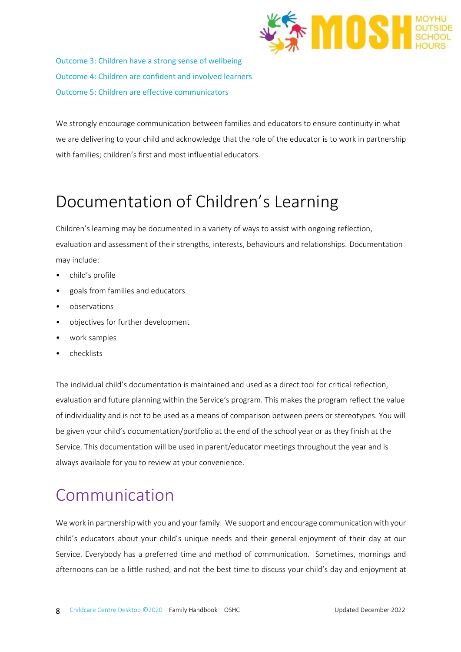

Outcome 3: Children have a strong sense of wellbeing Outcome 4: Children are confident and involved learners Outcome 5: Children are effective communicators

We strongly encourage communication between families and educators to ensure continuity in what we are delivering to your child and acknowledge that the role of the educator is to work in partnership with families; children's first and most influential educators.

### Documentation of Children's Learning

Children's learning may be documented in a variety of ways to assist with ongoing reflection, evaluation and assessment of their strengths, interests, behaviours and relationships. Documentation may include:

- child's profile
- goals from families and educators
- observations
- objectives for further development
- work samples
- checklists

The individual child's documentation is maintained and used as a direct tool for critical reflection, evaluation and future planning within the Service's program. This makes the program reflect the value of individuality and is not to be used as a means of comparison between peers or stereotypes. You will be given your child's documentation/portfolio at the end of the school year or as they finish at the Service. This documentation will be used in parent/educator meetings throughout the year and is always available for you to review at your convenience.

### Communication

We work in partnership with you and your family. We support and encourage communication with your child's educators about your child's unique needs and their general enjoyment of their day at our Service. Everybody has a preferred time and method of communication. Sometimes, mornings and afternoons can be a little rushed, and not the best time to discuss your child's day and enjoyment at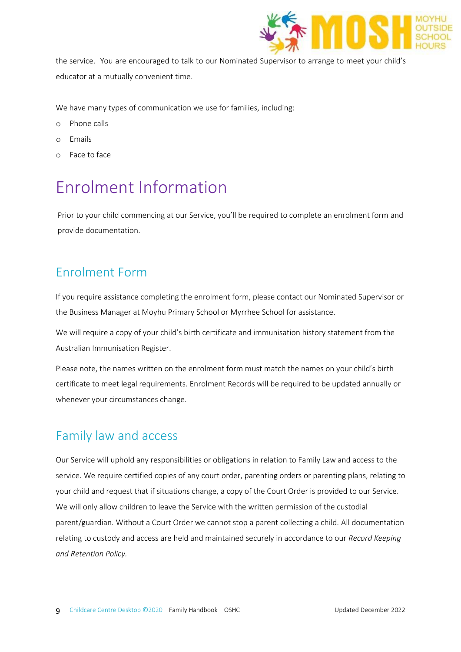

the service. You are encouraged to talk to our Nominated Supervisor to arrange to meet your child's educator at a mutually convenient time.

We have many types of communication we use for families, including:

- o Phone calls
- o Emails
- o Face to face

### Enrolment Information

Prior to your child commencing at our Service, you'll be required to complete an enrolment form and provide documentation.

#### Enrolment Form

If you require assistance completing the enrolment form, please contact our Nominated Supervisor or the Business Manager at Moyhu Primary School or Myrrhee School for assistance.

We will require a copy of your child's birth certificate and immunisation history statement from the Australian Immunisation Register.

Please note, the names written on the enrolment form must match the names on your child's birth certificate to meet legal requirements. Enrolment Records will be required to be updated annually or whenever your circumstances change.

#### Family law and access

Our Service will uphold any responsibilities or obligations in relation to Family Law and access to the service. We require certified copies of any court order, parenting orders or parenting plans, relating to your child and request that if situations change, a copy of the Court Order is provided to our Service. We will only allow children to leave the Service with the written permission of the custodial parent/guardian. Without a Court Order we cannot stop a parent collecting a child. All documentation relating to custody and access are held and maintained securely in accordance to our *Record Keeping and Retention Policy.*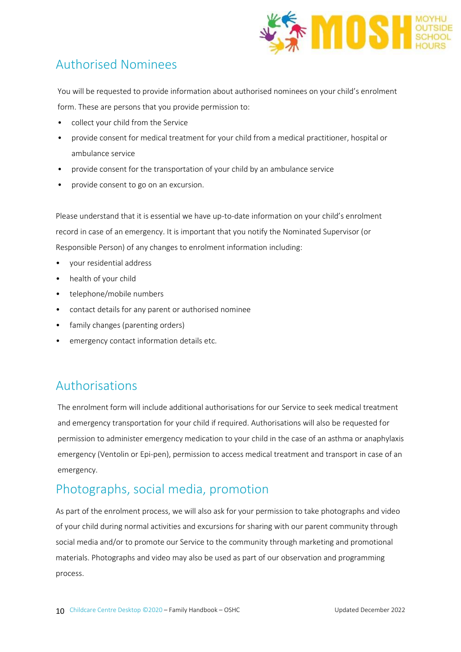

### Authorised Nominees

You will be requested to provide information about authorised nominees on your child's enrolment form. These are persons that you provide permission to:

- collect your child from the Service
- provide consent for medical treatment for your child from a medical practitioner, hospital or ambulance service
- provide consent for the transportation of your child by an ambulance service
- provide consent to go on an excursion.

Please understand that it is essential we have up-to-date information on your child's enrolment record in case of an emergency. It is important that you notify the Nominated Supervisor (or Responsible Person) of any changes to enrolment information including:

- your residential address
- health of your child
- telephone/mobile numbers
- contact details for any parent or authorised nominee
- family changes (parenting orders)
- emergency contact information details etc.

#### Authorisations

The enrolment form will include additional authorisations for our Service to seek medical treatment and emergency transportation for your child if required. Authorisations will also be requested for permission to administer emergency medication to your child in the case of an asthma or anaphylaxis emergency (Ventolin or Epi-pen), permission to access medical treatment and transport in case of an emergency.

### Photographs, social media, promotion

As part of the enrolment process, we will also ask for your permission to take photographs and video of your child during normal activities and excursions for sharing with our parent community through social media and/or to promote our Service to the community through marketing and promotional materials. Photographs and video may also be used as part of our observation and programming process.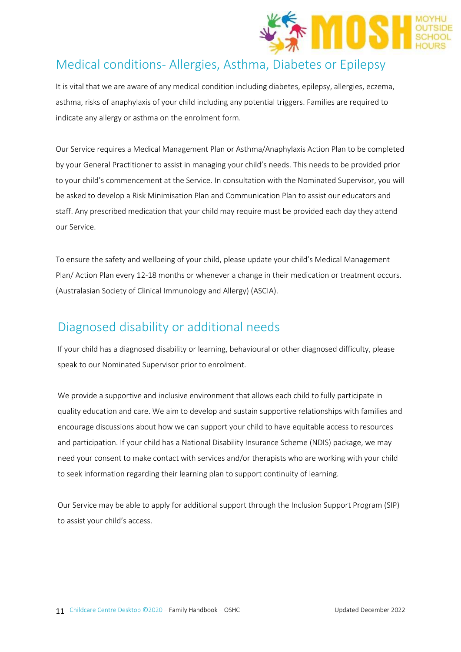

#### Medical conditions- Allergies, Asthma, Diabetes or Epilepsy

It is vital that we are aware of any medical condition including diabetes, epilepsy, allergies, eczema, asthma, risks of anaphylaxis of your child including any potential triggers. Families are required to indicate any allergy or asthma on the enrolment form.

Our Service requires a Medical Management Plan or Asthma/Anaphylaxis Action Plan to be completed by your General Practitioner to assist in managing your child's needs. This needs to be provided prior to your child's commencement at the Service. In consultation with the Nominated Supervisor, you will be asked to develop a Risk Minimisation Plan and Communication Plan to assist our educators and staff. Any prescribed medication that your child may require must be provided each day they attend our Service.

To ensure the safety and wellbeing of your child, please update your child's Medical Management Plan/ Action Plan every 12-18 months or whenever a change in their medication or treatment occurs. (Australasian Society of Clinical Immunology and Allergy) (ASCIA).

#### Diagnosed disability or additional needs

If your child has a diagnosed disability or learning, behavioural or other diagnosed difficulty, please speak to our Nominated Supervisor prior to enrolment.

We provide a supportive and inclusive environment that allows each child to fully participate in quality education and care. We aim to develop and sustain supportive relationships with families and encourage discussions about how we can support your child to have equitable access to resources and participation. If your child has a National Disability Insurance Scheme (NDIS) package, we may need your consent to make contact with services and/or therapists who are working with your child to seek information regarding their learning plan to support continuity of learning.

Our Service may be able to apply for additional support through the [Inclusion Support Program \(SIP\)](https://www.education.gov.au/inclusion-support-program-isp) to assist your child's access.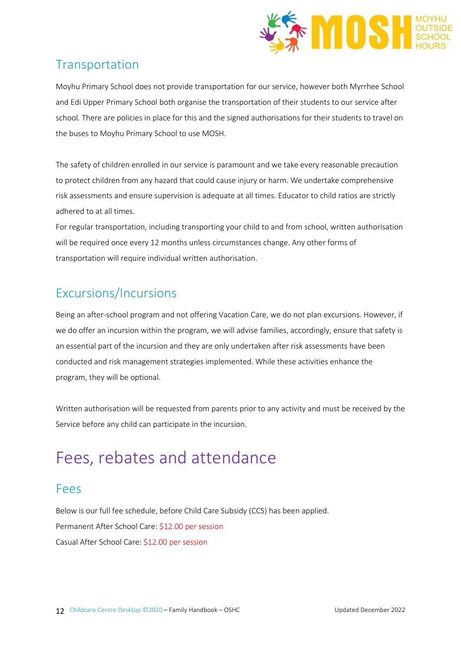

#### Transportation

Moyhu Primary School does not provide transportation for our service, however both Myrrhee School and Edi Upper Primary School both organise the transportation of their students to our service after school. There are policies in place for this and the signed authorisations for their students to travel on the buses to Moyhu Primary School to use MOSH.

The safety of children enrolled in our service is paramount and we take every reasonable precaution to protect children from any hazard that could cause injury or harm. We undertake comprehensive risk assessments and ensure supervision is adequate at all times. Educator to child ratios are strictly adhered to at all times.

For regular transportation, including transporting your child to and from school, written authorisation will be required once every 12 months unless circumstances change. Any other forms of transportation will require individual written authorisation.

### Excursions/Incursions

Being an after-school program and not offering Vacation Care, we do not plan excursions. However, if we do offer an incursion within the program, we will advise families, accordingly, ensure that safety is an essential part of the incursion and they are only undertaken after risk assessments have been conducted and risk management strategies implemented. While these activities enhance the program, they will be optional.

Written authorisation will be requested from parents prior to any activity and must be received by the Service before any child can participate in the incursion.

### Fees, rebates and attendance

#### Fees

Below is our full fee schedule, before Child Care Subsidy (CCS) has been applied. Permanent After School Care: \$12.00 per session Casual After School Care: \$12.00 per session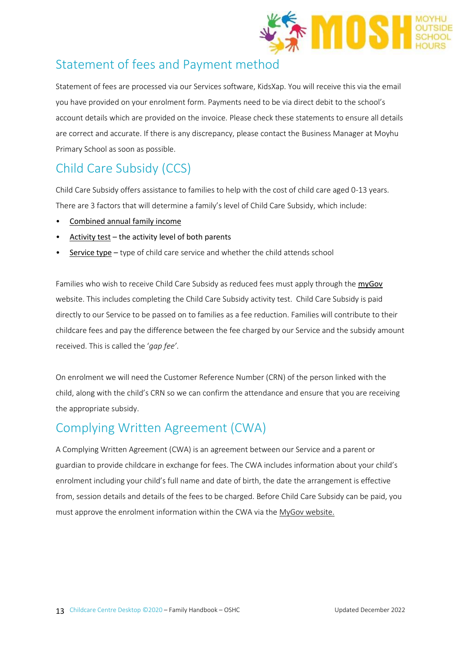

### Statement of fees and Payment method

Statement of fees are processed via our Services software, KidsXap. You will receive this via the email you have provided on your enrolment form. Payments need to be via direct debit to the school's account details which are provided on the invoice. Please check these statements to ensure all details are correct and accurate. If there is any discrepancy, please contact the Business Manager at Moyhu Primary School as soon as possible.

### Child Care Subsidy (CCS)

Child Care Subsidy offers assistance to families to help with the cost of child care aged 0-13 years. There are 3 factors that will determine a family's level of Child Care Subsidy, which include:

- [Combined annual family income](https://www.education.gov.au/child-care-subsidy-combined-annual-family-income)
- [Activity test](https://www.education.gov.au/child-care-subsidy-activity-test) the activity level of both parents
- [Service type](https://www.education.gov.au/child-care-subsidy-service-type) type of child care service and whether the child attends school

Families who wish to receive Child Care Subsidy as reduced fees must apply through the [myGov](https://my.gov.au/LoginServices/main/login?execution=e2s1) website. This includes completing the Child Care Subsidy activity test. Child Care Subsidy is paid directly to our Service to be passed on to families as a fee reduction. Families will contribute to their childcare fees and pay the difference between the fee charged by our Service and the subsidy amount received. This is called the '*gap fee'*.

On enrolment we will need the Customer Reference Number (CRN) of the person linked with the child, along with the child's CRN so we can confirm the attendance and ensure that you are receiving the appropriate subsidy.

### Complying Written Agreement (CWA)

A Complying Written Agreement (CWA) is an agreement between our Service and a parent or guardian to provide childcare in exchange for fees. The CWA includes information about your child's enrolment including your child's full name and date of birth, the date the arrangement is effective from, session details and details of the fees to be charged. Before Child Care Subsidy can be paid, you must approve the enrolment information within the CWA via th[e MyGov website.](https://www.servicesaustralia.gov.au/individuals/services/centrelink/child-care-subsidy/how-claim/confirm-enrolment)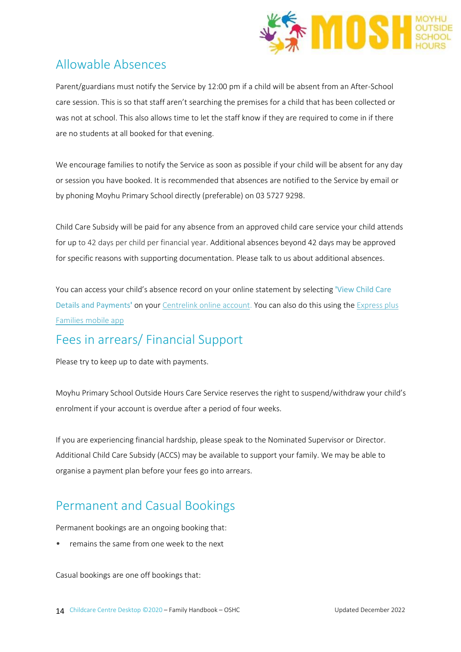

#### Allowable Absences

Parent/guardians must notify the Service by 12:00 pm if a child will be absent from an After-School care session. This is so that staff aren't searching the premises for a child that has been collected or was not at school. This also allows time to let the staff know if they are required to come in if there are no students at all booked for that evening.

We encourage families to notify the Service as soon as possible if your child will be absent for any day or session you have booked. It is recommended that absences are notified to the Service by email or by phoning Moyhu Primary School directly (preferable) on 03 5727 9298.

Child Care Subsidy will be paid for any absence from an approved child care service your child attends for up to 42 days per child per financial year. Additional absences beyond 42 days may be approved for specific reasons with supporting documentation. Please talk to us about additional absences.

You can access your child's absence record on your online statement by selecting **'**View Child Care Details and Payments**'** on your [Centrelink online account.](http://www.humanservices.gov.au/customer/subjects/self-service) You can also do this using the [Express plus](http://www.humanservices.gov.au/customer/services/express-plus-mobile-apps)  [Families mobile app](http://www.humanservices.gov.au/customer/services/express-plus-mobile-apps)

### Fees in arrears/ Financial Support

Please try to keep up to date with payments.

Moyhu Primary School Outside Hours Care Service reserves the right to suspend/withdraw your child's enrolment if your account is overdue after a period of four weeks.

If you are experiencing financial hardship, please speak to the Nominated Supervisor or Director. Additional Child Care Subsidy (ACCS) may be available to support your family. We may be able to organise a payment plan before your fees go into arrears.

### Permanent and Casual Bookings

Permanent bookings are an ongoing booking that:

• remains the same from one week to the next

Casual bookings are one off bookings that: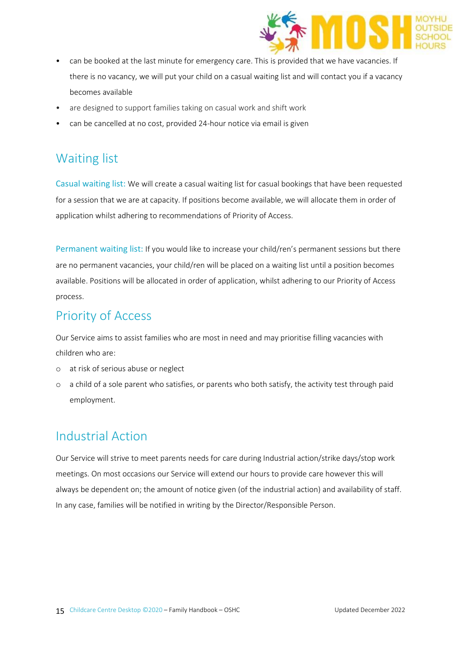

- can be booked at the last minute for emergency care. This is provided that we have vacancies. If there is no vacancy, we will put your child on a casual waiting list and will contact you if a vacancy becomes available
- are designed to support families taking on casual work and shift work
- can be cancelled at no cost, provided 24-hour notice via email is given

#### Waiting list

Casual waiting list: We will create a casual waiting list for casual bookings that have been requested for a session that we are at capacity. If positions become available, we will allocate them in order of application whilst adhering to recommendations of Priority of Access.

Permanent waiting list: If you would like to increase your child/ren's permanent sessions but there are no permanent vacancies, your child/ren will be placed on a waiting list until a position becomes available. Positions will be allocated in order of application, whilst adhering to our Priority of Access process.

#### Priority of Access

Our Service aims to assist families who are most in need and may prioritise filling vacancies with children who are:

- o at risk of serious abuse or neglect
- o a child of a sole parent who satisfies, or parents who both satisfy, the activity test through paid employment.

#### Industrial Action

Our Service will strive to meet parents needs for care during Industrial action/strike days/stop work meetings. On most occasions our Service will extend our hours to provide care however this will always be dependent on; the amount of notice given (of the industrial action) and availability of staff. In any case, families will be notified in writing by the Director/Responsible Person.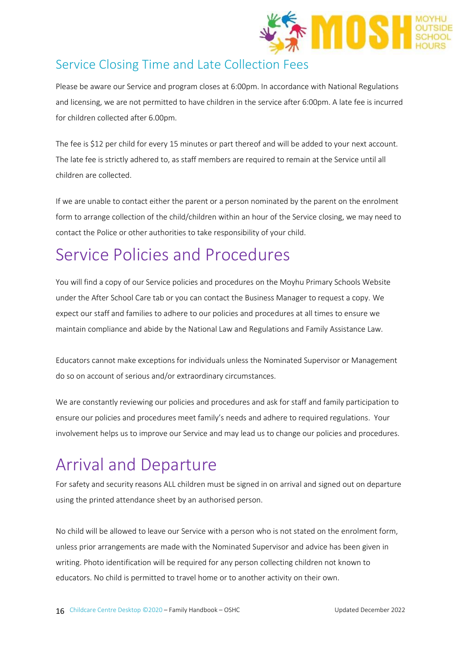

#### Service Closing Time and Late Collection Fees

Please be aware our Service and program closes at 6:00pm. In accordance with National Regulations and licensing, we are not permitted to have children in the service after 6:00pm. A late fee is incurred for children collected after 6.00pm.

The fee is \$12 per child for every 15 minutes or part thereof and will be added to your next account. The late fee is strictly adhered to, as staff members are required to remain at the Service until all children are collected.

If we are unable to contact either the parent or a person nominated by the parent on the enrolment form to arrange collection of the child/children within an hour of the Service closing, we may need to contact the Police or other authorities to take responsibility of your child.

### Service Policies and Procedures

You will find a copy of our Service policies and procedures on the Moyhu Primary Schools Website under the After School Care tab or you can contact the Business Manager to request a copy. We expect our staff and families to adhere to our policies and procedures at all times to ensure we maintain compliance and abide by the National Law and Regulations and Family Assistance Law.

Educators cannot make exceptions for individuals unless the Nominated Supervisor or Management do so on account of serious and/or extraordinary circumstances.

We are constantly reviewing our policies and procedures and ask for staff and family participation to ensure our policies and procedures meet family's needs and adhere to required regulations. Your involvement helps us to improve our Service and may lead us to change our policies and procedures.

## Arrival and Departure

For safety and security reasons ALL children must be signed in on arrival and signed out on departure using the printed attendance sheet by an authorised person.

No child will be allowed to leave our Service with a person who is not stated on the enrolment form, unless prior arrangements are made with the Nominated Supervisor and advice has been given in writing. Photo identification will be required for any person collecting children not known to educators. No child is permitted to travel home or to another activity on their own.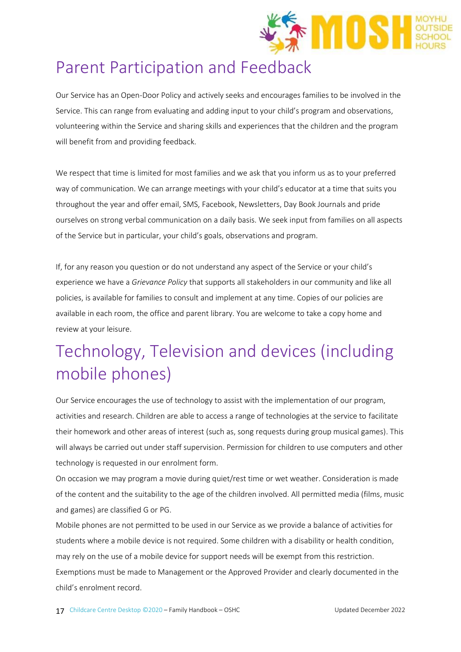

### Parent Participation and Feedback

Our Service has an Open-Door Policy and actively seeks and encourages families to be involved in the Service. This can range from evaluating and adding input to your child's program and observations, volunteering within the Service and sharing skills and experiences that the children and the program will benefit from and providing feedback.

We respect that time is limited for most families and we ask that you inform us as to your preferred way of communication. We can arrange meetings with your child's educator at a time that suits you throughout the year and offer email, SMS, Facebook, Newsletters, Day Book Journals and pride ourselves on strong verbal communication on a daily basis. We seek input from families on all aspects of the Service but in particular, your child's goals, observations and program.

If, for any reason you question or do not understand any aspect of the Service or your child's experience we have a *Grievance Policy* that supports all stakeholders in our community and like all policies, is available for families to consult and implement at any time. Copies of our policies are available in each room, the office and parent library. You are welcome to take a copy home and review at your leisure.

## Technology, Television and devices (including mobile phones)

Our Service encourages the use of technology to assist with the implementation of our program, activities and research. Children are able to access a range of technologies at the service to facilitate their homework and other areas of interest (such as, song requests during group musical games). This will always be carried out under staff supervision. Permission for children to use computers and other technology is requested in our enrolment form.

On occasion we may program a movie during quiet/rest time or wet weather. Consideration is made of the content and the suitability to the age of the children involved. All permitted media (films, music and games) are classified G or PG.

Mobile phones are not permitted to be used in our Service as we provide a balance of activities for students where a mobile device is not required. Some children with a disability or health condition, may rely on the use of a mobile device for support needs will be exempt from this restriction. Exemptions must be made to Management or the Approved Provider and clearly documented in the child's enrolment record.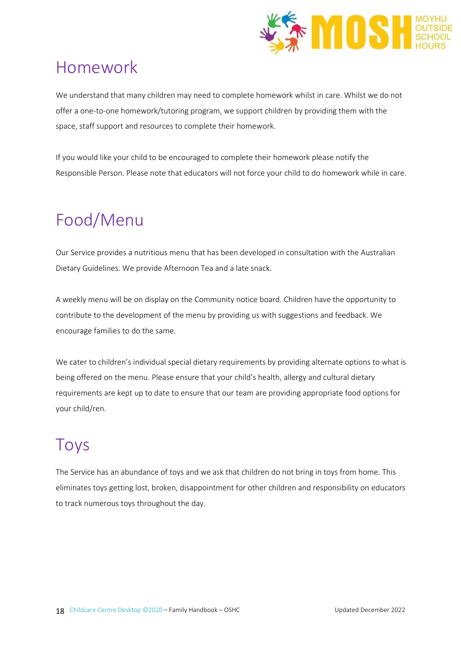

### Homework

We understand that many children may need to complete homework whilst in care. Whilst we do not offer a one-to-one homework/tutoring program, we support children by providing them with the space, staff support and resources to complete their homework.

If you would like your child to be encouraged to complete their homework please notify the Responsible Person. Please note that educators will not force your child to do homework while in care.

## Food/Menu

Our Service provides a nutritious menu that has been developed in consultation with the Australian Dietary Guidelines. We provide Afternoon Tea and a late snack.

A weekly menu will be on display on the Community notice board. Children have the opportunity to contribute to the development of the menu by providing us with suggestions and feedback. We encourage families to do the same.

We cater to children's individual special dietary requirements by providing alternate options to what is being offered on the menu. Please ensure that your child's health, allergy and cultural dietary requirements are kept up to date to ensure that our team are providing appropriate food options for your child/ren.

### Toys

The Service has an abundance of toys and we ask that children do not bring in toys from home. This eliminates toys getting lost, broken, disappointment for other children and responsibility on educators to track numerous toys throughout the day.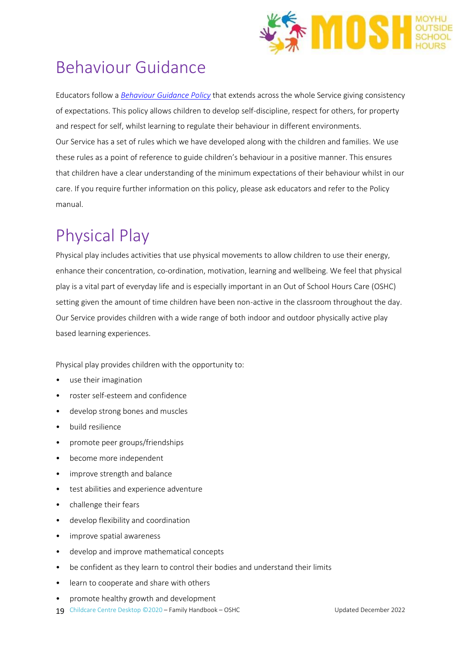

### Behaviour Guidance

Educators follow a *[Behaviour Guidance](Behaviour%20Guidance%20Policy%20Updated%20Dec%202021.docx) Policy* that extends across the whole Service giving consistency of expectations. This policy allows children to develop self-discipline, respect for others, for property and respect for self, whilst learning to regulate their behaviour in different environments. Our Service has a set of rules which we have developed along with the children and families. We use these rules as a point of reference to guide children's behaviour in a positive manner. This ensures that children have a clear understanding of the minimum expectations of their behaviour whilst in our care. If you require further information on this policy, please ask educators and refer to the Policy manual.

## Physical Play

Physical play includes activities that use physical movements to allow children to use their energy, enhance their concentration, co-ordination, motivation, learning and wellbeing. We feel that physical play is a vital part of everyday life and is especially important in an Out of School Hours Care (OSHC) setting given the amount of time children have been non-active in the classroom throughout the day. Our Service provides children with a wide range of both indoor and outdoor physically active play based learning experiences.

Physical play provides children with the opportunity to:

- use their imagination
- roster self-esteem and confidence
- develop strong bones and muscles
- build resilience
- promote peer groups/friendships
- become more independent
- improve strength and balance
- test abilities and experience adventure
- challenge their fears
- develop flexibility and coordination
- improve spatial awareness
- develop and improve mathematical concepts
- be confident as they learn to control their bodies and understand their limits
- learn to cooperate and share with others
- promote healthy growth and development
- 19 Childcare Centre Desktop ©2020 Family Handbook OSHC Updated December 2022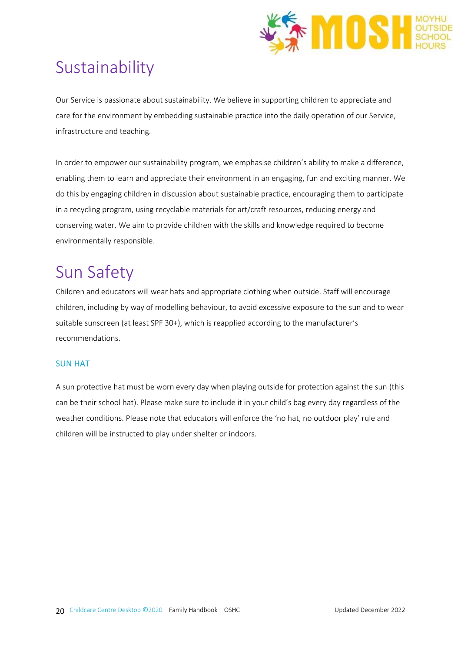

## Sustainability

Our Service is passionate about sustainability. We believe in supporting children to appreciate and care for the environment by embedding sustainable practice into the daily operation of our Service, infrastructure and teaching.

In order to empower our sustainability program, we emphasise children's ability to make a difference, enabling them to learn and appreciate their environment in an engaging, fun and exciting manner. We do this by engaging children in discussion about sustainable practice, encouraging them to participate in a recycling program, using recyclable materials for art/craft resources, reducing energy and conserving water. We aim to provide children with the skills and knowledge required to become environmentally responsible.

## Sun Safety

Children and educators will wear hats and appropriate clothing when outside. Staff will encourage children, including by way of modelling behaviour, to avoid excessive exposure to the sun and to wear suitable sunscreen (at least SPF 30+), which is reapplied according to the manufacturer's recommendations.

#### SUN HAT

A sun protective hat must be worn every day when playing outside for protection against the sun (this can be their school hat). Please make sure to include it in your child's bag every day regardless of the weather conditions. Please note that educators will enforce the 'no hat, no outdoor play' rule and children will be instructed to play under shelter or indoors.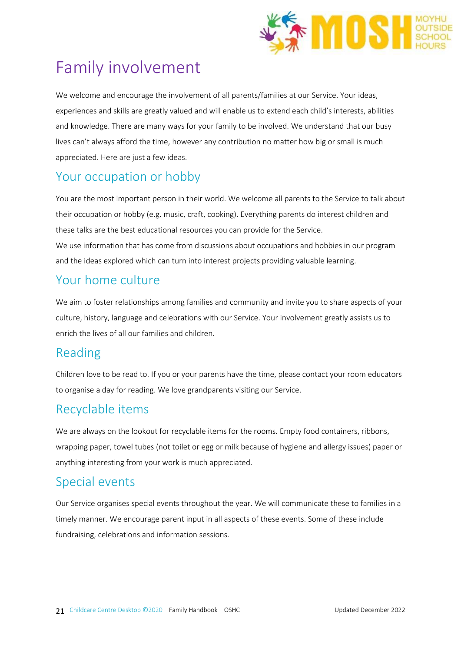

### Family involvement

We welcome and encourage the involvement of all parents/families at our Service. Your ideas, experiences and skills are greatly valued and will enable us to extend each child's interests, abilities and knowledge. There are many ways for your family to be involved. We understand that our busy lives can't always afford the time, however any contribution no matter how big or small is much appreciated. Here are just a few ideas.

#### Your occupation or hobby

You are the most important person in their world. We welcome all parents to the Service to talk about their occupation or hobby (e.g. music, craft, cooking). Everything parents do interest children and these talks are the best educational resources you can provide for the Service.

We use information that has come from discussions about occupations and hobbies in our program and the ideas explored which can turn into interest projects providing valuable learning.

#### Your home culture

We aim to foster relationships among families and community and invite you to share aspects of your culture, history, language and celebrations with our Service. Your involvement greatly assists us to enrich the lives of all our families and children.

#### Reading

Children love to be read to. If you or your parents have the time, please contact your room educators to organise a day for reading. We love grandparents visiting our Service.

#### Recyclable items

We are always on the lookout for recyclable items for the rooms. Empty food containers, ribbons, wrapping paper, towel tubes (not toilet or egg or milk because of hygiene and allergy issues) paper or anything interesting from your work is much appreciated.

#### Special events

Our Service organises special events throughout the year. We will communicate these to families in a timely manner. We encourage parent input in all aspects of these events. Some of these include fundraising, celebrations and information sessions.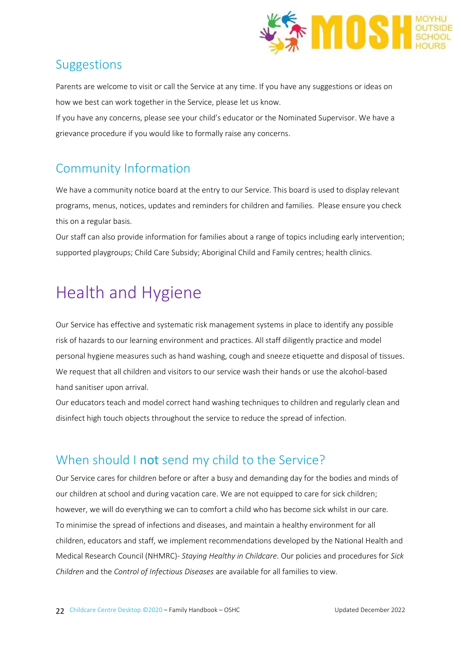

#### Suggestions

Parents are welcome to visit or call the Service at any time. If you have any suggestions or ideas on how we best can work together in the Service, please let us know.

If you have any concerns, please see your child's educator or the Nominated Supervisor. We have a grievance procedure if you would like to formally raise any concerns.

### Community Information

We have a community notice board at the entry to our Service. This board is used to display relevant programs, menus, notices, updates and reminders for children and families. Please ensure you check this on a regular basis.

Our staff can also provide information for families about a range of topics including early intervention; supported playgroups; Child Care Subsidy; Aboriginal Child and Family centres; health clinics.

### Health and Hygiene

Our Service has effective and systematic risk management systems in place to identify any possible risk of hazards to our learning environment and practices. All staff diligently practice and model personal hygiene measures such as hand washing, cough and sneeze etiquette and disposal of tissues. We request that all children and visitors to our service wash their hands or use the alcohol-based hand sanitiser upon arrival.

Our educators teach and model correct hand washing techniques to children and regularly clean and disinfect high touch objects throughout the service to reduce the spread of infection.

### When should I not send my child to the Service?

Our Service cares for children before or after a busy and demanding day for the bodies and minds of our children at school and during vacation care. We are not equipped to care for sick children; however, we will do everything we can to comfort a child who has become sick whilst in our care. To minimise the spread of infections and diseases, and maintain a healthy environment for all children, educators and staff, we implement recommendations developed by the National Health and Medical Research Council (NHMRC)- *Staying Healthy in Childcare*. Our policies and procedures for *Sick Children* and the *Control of Infectious Diseases* are available for all families to view.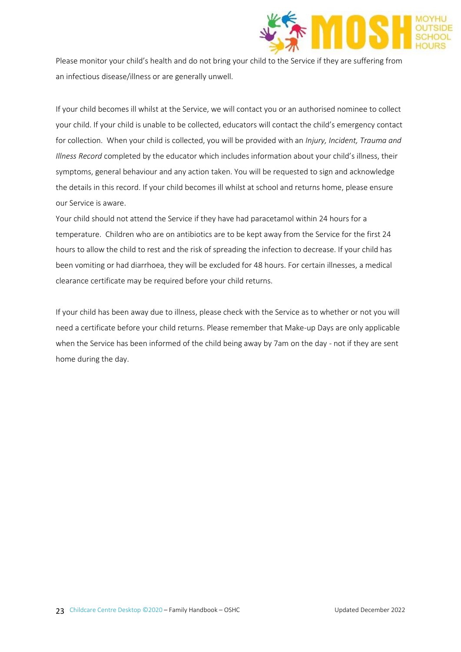

Please monitor your child's health and do not bring your child to the Service if they are suffering from an infectious disease/illness or are generally unwell.

If your child becomes ill whilst at the Service, we will contact you or an authorised nominee to collect your child. If your child is unable to be collected, educators will contact the child's emergency contact for collection. When your child is collected, you will be provided with an *Injury, Incident, Trauma and Illness Record* completed by the educator which includes information about your child's illness, their symptoms, general behaviour and any action taken. You will be requested to sign and acknowledge the details in this record. If your child becomes ill whilst at school and returns home, please ensure our Service is aware.

Your child should not attend the Service if they have had paracetamol within 24 hours for a temperature. Children who are on antibiotics are to be kept away from the Service for the first 24 hours to allow the child to rest and the risk of spreading the infection to decrease. If your child has been vomiting or had diarrhoea, they will be excluded for 48 hours. For certain illnesses, a medical clearance certificate may be required before your child returns.

If your child has been away due to illness, please check with the Service as to whether or not you will need a certificate before your child returns. Please remember that Make-up Days are only applicable when the Service has been informed of the child being away by 7am on the day - not if they are sent home during the day.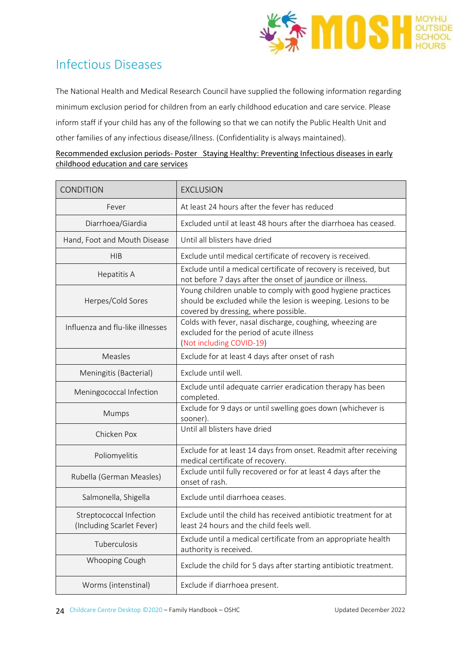

### Infectious Diseases

The National Health and Medical Research Council have supplied the following information regarding minimum exclusion period for children from an early childhood education and care service. Please inform staff if your child has any of the following so that we can notify the Public Health Unit and other families of any infectious disease/illness. (Confidentiality is always maintained).

|                                       | Recommended exclusion periods- Poster Staying Healthy: Preventing Infectious diseases in early |
|---------------------------------------|------------------------------------------------------------------------------------------------|
| childhood education and care services |                                                                                                |

| <b>CONDITION</b>                                     | <b>EXCLUSION</b>                                                                                                                                                     |
|------------------------------------------------------|----------------------------------------------------------------------------------------------------------------------------------------------------------------------|
| Fever                                                | At least 24 hours after the fever has reduced                                                                                                                        |
| Diarrhoea/Giardia                                    | Excluded until at least 48 hours after the diarrhoea has ceased.                                                                                                     |
| Hand, Foot and Mouth Disease                         | Until all blisters have dried                                                                                                                                        |
| <b>HIB</b>                                           | Exclude until medical certificate of recovery is received.                                                                                                           |
| <b>Hepatitis A</b>                                   | Exclude until a medical certificate of recovery is received, but<br>not before 7 days after the onset of jaundice or illness.                                        |
| Herpes/Cold Sores                                    | Young children unable to comply with good hygiene practices<br>should be excluded while the lesion is weeping. Lesions to be<br>covered by dressing, where possible. |
| Influenza and flu-like illnesses                     | Colds with fever, nasal discharge, coughing, wheezing are<br>excluded for the period of acute illness<br>(Not including COVID-19)                                    |
| Measles                                              | Exclude for at least 4 days after onset of rash                                                                                                                      |
| Meningitis (Bacterial)                               | Exclude until well.                                                                                                                                                  |
| Meningococcal Infection                              | Exclude until adequate carrier eradication therapy has been<br>completed.                                                                                            |
| Mumps                                                | Exclude for 9 days or until swelling goes down (whichever is<br>sooner).                                                                                             |
| Chicken Pox                                          | Until all blisters have dried                                                                                                                                        |
| Poliomyelitis                                        | Exclude for at least 14 days from onset. Readmit after receiving<br>medical certificate of recovery.                                                                 |
| Rubella (German Measles)                             | Exclude until fully recovered or for at least 4 days after the<br>onset of rash.                                                                                     |
| Salmonella, Shigella                                 | Exclude until diarrhoea ceases.                                                                                                                                      |
| Streptococcal Infection<br>(Including Scarlet Fever) | Exclude until the child has received antibiotic treatment for at<br>least 24 hours and the child feels well.                                                         |
| Tuberculosis                                         | Exclude until a medical certificate from an appropriate health<br>authority is received.                                                                             |
| Whooping Cough                                       | Exclude the child for 5 days after starting antibiotic treatment.                                                                                                    |
| Worms (intenstinal)                                  | Exclude if diarrhoea present.                                                                                                                                        |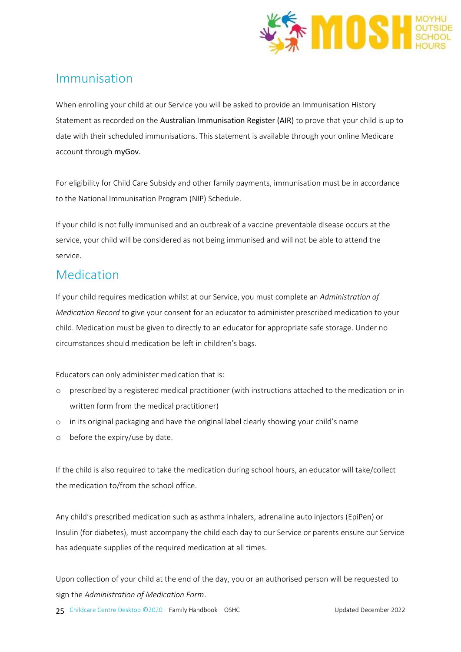

#### Immunisation

When enrolling your child at our Service you will be asked to provide an Immunisation History Statement as recorded on the [Australian Immunisation Register \(AIR\)](https://www.health.gov.au/health-topics/immunisation/immunisation-throughout-life/national-immunisation-program-schedule#national-immunisation-program-schedule-from-1-april-2019) to prove that your child is up to date with their scheduled immunisations. This statement is available through your online Medicare account through [myGov.](https://my.gov.au/LoginServices/main/login?execution=e1s1)

For eligibility for Child Care Subsidy and other family payments, immunisation must be in accordance to the National Immunisation Program (NIP) Schedule.

If your child is not fully immunised and an outbreak of a vaccine preventable disease occurs at the service, your child will be considered as not being immunised and will not be able to attend the service.

#### Medication

If your child requires medication whilst at our Service, you must complete an *Administration of Medication Record* to give your consent for an educator to administer prescribed medication to your child. Medication must be given to directly to an educator for appropriate safe storage. Under no circumstances should medication be left in children's bags.

Educators can only administer medication that is:

- o prescribed by a registered medical practitioner (with instructions attached to the medication or in written form from the medical practitioner)
- o in its original packaging and have the original label clearly showing your child's name
- o before the expiry/use by date.

If the child is also required to take the medication during school hours, an educator will take/collect the medication to/from the school office.

Any child's prescribed medication such as asthma inhalers, adrenaline auto injectors (EpiPen) or Insulin (for diabetes), must accompany the child each day to our Service or parents ensure our Service has adequate supplies of the required medication at all times.

Upon collection of your child at the end of the day, you or an authorised person will be requested to sign the *Administration of Medication Form*.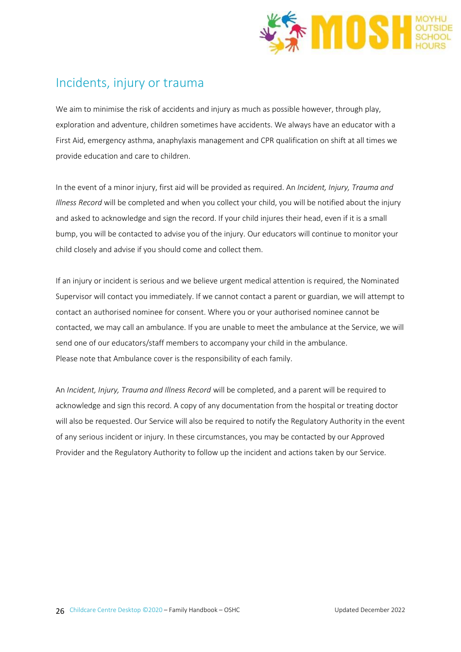

#### Incidents, injury or trauma

We aim to minimise the risk of accidents and injury as much as possible however, through play, exploration and adventure, children sometimes have accidents. We always have an educator with a First Aid, emergency asthma, anaphylaxis management and CPR qualification on shift at all times we provide education and care to children.

In the event of a minor injury, first aid will be provided as required. An *Incident, Injury, Trauma and Illness Record* will be completed and when you collect your child, you will be notified about the injury and asked to acknowledge and sign the record. If your child injures their head, even if it is a small bump, you will be contacted to advise you of the injury. Our educators will continue to monitor your child closely and advise if you should come and collect them.

If an injury or incident is serious and we believe urgent medical attention is required, the Nominated Supervisor will contact you immediately. If we cannot contact a parent or guardian, we will attempt to contact an authorised nominee for consent. Where you or your authorised nominee cannot be contacted, we may call an ambulance. If you are unable to meet the ambulance at the Service, we will send one of our educators/staff members to accompany your child in the ambulance. Please note that Ambulance cover is the responsibility of each family.

An *Incident, Injury, Trauma and Illness Record* will be completed, and a parent will be required to acknowledge and sign this record. A copy of any documentation from the hospital or treating doctor will also be requested. Our Service will also be required to notify the Regulatory Authority in the event of any serious incident or injury. In these circumstances, you may be contacted by our Approved Provider and the Regulatory Authority to follow up the incident and actions taken by our Service.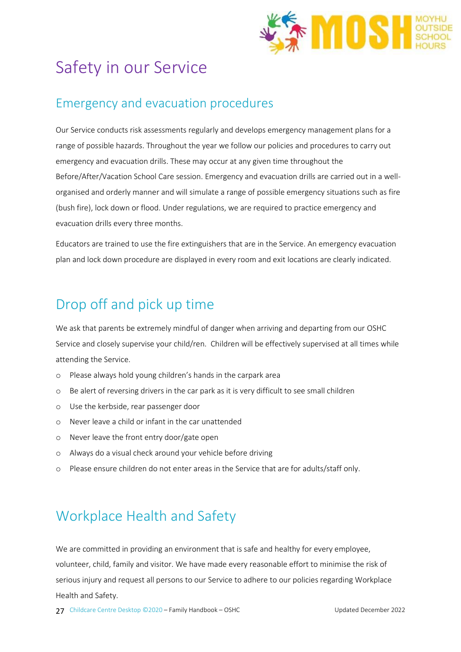

### Safety in our Service

#### Emergency and evacuation procedures

Our Service conducts risk assessments regularly and develops emergency management plans for a range of possible hazards. Throughout the year we follow our policies and procedures to carry out emergency and evacuation drills. These may occur at any given time throughout the Before/After/Vacation School Care session. Emergency and evacuation drills are carried out in a wellorganised and orderly manner and will simulate a range of possible emergency situations such as fire (bush fire), lock down or flood. Under regulations, we are required to practice emergency and evacuation drills every three months.

Educators are trained to use the fire extinguishers that are in the Service. An emergency evacuation plan and lock down procedure are displayed in every room and exit locations are clearly indicated.

### Drop off and pick up time

We ask that parents be extremely mindful of danger when arriving and departing from our OSHC Service and closely supervise your child/ren. Children will be effectively supervised at all times while attending the Service.

- o Please always hold young children's hands in the carpark area
- o Be alert of reversing drivers in the car park as it is very difficult to see small children
- o Use the kerbside, rear passenger door
- o Never leave a child or infant in the car unattended
- o Never leave the front entry door/gate open
- o Always do a visual check around your vehicle before driving
- o Please ensure children do not enter areas in the Service that are for adults/staff only.

### Workplace Health and Safety

We are committed in providing an environment that is safe and healthy for every employee, volunteer, child, family and visitor. We have made every reasonable effort to minimise the risk of serious injury and request all persons to our Service to adhere to our policies regarding Workplace Health and Safety.